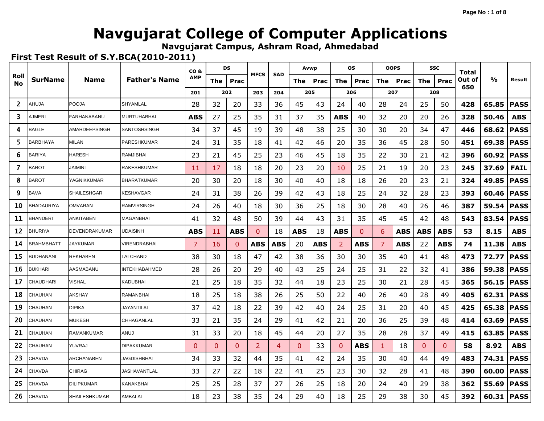**Navgujarat Campus, Ashram Road, Ahmedabad**

| Roll         |                   |                      |                      | CO <sub>&amp;</sub> |          | DS           | <b>MFCS</b>  | <b>SAD</b>     |              | Avwp       |                | <b>OS</b> |     | <b>OOPS</b> |            | <b>SSC</b>   | Total  |               |             |
|--------------|-------------------|----------------------|----------------------|---------------------|----------|--------------|--------------|----------------|--------------|------------|----------------|-----------|-----|-------------|------------|--------------|--------|---------------|-------------|
| No           | <b>SurName</b>    | Name                 | <b>Father's Name</b> | <b>AMP</b>          | The      | Prac         |              |                | The          | Prac       | The            | Prac      | The | Prac        | The        | Prac         | Out of | $\frac{0}{0}$ | Result      |
|              |                   |                      |                      | 201                 |          | 202          | 203          | 204            |              | 205        |                | 206       |     | 207         |            | 208          | 650    |               |             |
| $\mathbf{2}$ | AHUJA             | POOJA                | SHYAMLAL             | 28                  | 32       | 20           | 33           | 36             | 45           | 43         | 24             | 40        | 28  | 24          | 25         | 50           | 428    | 65.85         | <b>PASS</b> |
| 3            | <b>JMERI</b>      | FARHANABANU          | <b>MURTUHABHAI</b>   | ABS                 | 27       | 25           | 35           | 31             | 37           | 35         | <b>ABS</b>     | 40        | 32  | 20          | 20         | 26           | 328    | 50.46         | <b>ABS</b>  |
| 4            | <b>BAGLE</b>      | AMARDEEPSINGH        | SANTOSHSINGH         | 34                  | 37       | 45           | 19           | 39             | 48           | 38         | 25             | 30        | 30  | 20          | 34         | 47           | 446    | 68.62         | <b>PASS</b> |
| 5            | <b>BARBHAYA</b>   | <b>MILAN</b>         | PARESHKUMAR          | 24                  | 31       | 35           | 18           | 41             | 42           | 46         | 20             | 35        | 36  | 45          | 28         | 50           | 451    | 69.38         | <b>PASS</b> |
| 6            | <b>BARIYA</b>     | <b>HARESH</b>        | RAMJIBHAI            | 23                  | 21       | 45           | 25           | 23             | 46           | 45         | 18             | 35        | 22  | 30          | 21         | 42           | 396    | 60.92         | <b>PASS</b> |
| 7            | <b>BAROT</b>      | <b>JAIMINI</b>       | RAKESHKUMAR          | 11                  | 17       | 18           | 18           | 20             | 23           | 20         | 10             | 25        | 21  | 19          | 20         | 23           | 245    | 37.69         | <b>FAIL</b> |
| 8            | <b>BAROT</b>      | YAGNIKKUMAR          | <b>BHARATKUMAR</b>   | 20                  | 30       | 20           | 18           | 30             | 40           | 40         | 18             | 18        | 26  | 20          | 23         | 21           | 324    | 49.85         | <b>PASS</b> |
| 9            | <b>BAVA</b>       | <b>SHAILESHGAR</b>   | KESHAVGAR            | 24                  | 31       | 38           | 26           | 39             | 42           | 43         | 18             | 25        | 24  | 32          | 28         | 23           | 393    | 60.46         | <b>PASS</b> |
| 10           | BHADAURIYA        | <b>OMVARAN</b>       | RAMVIRSINGH          | 24                  | 26       | 40           | 18           | 30             | 36           | 25         | 18             | 30        | 28  | 40          | 26         | 46           | 387    | 59.54         | <b>PASS</b> |
| 11           | <b>BHANDERI</b>   | ANKITABEN            | MAGANBHAI            | 41                  | 32       | 48           | 50           | 39             | 44           | 43         | 31             | 35        | 45  | 45          | 42         | 48           | 543    | 83.54         | <b>PASS</b> |
| 12           | <b>BHURIYA</b>    | DEVENDRAKUMAR        | <b>UDAISINH</b>      | ABS                 | 11       | ABS          | $\mathbf{0}$ | 18             | <b>ABS</b>   | 18         | <b>ABS</b>     | 0         | 6   | ABS         | <b>ABS</b> | ABS          | 53     | 8.15          | <b>ABS</b>  |
| 14           | <b>BRAHMBHATT</b> | <b>JAYKUMAR</b>      | VIRENDRABHAI         | 7                   | 16       | $\Omega$     | <b>ABS</b>   | <b>ABS</b>     | 20           | <b>ABS</b> | 2              | ABS       | 7   | <b>ABS</b>  | 22         | <b>ABS</b>   | 74     | 11.38         | <b>ABS</b>  |
| 15           | <b>BUDHANANI</b>  | REKHABEN             | LALCHAND             | 38                  | 30       | 18           | 47           | 42             | 38           | 36         | 30             | 30        | 35  | 40          | 41         | 48           | 473    | 72.77         | <b>PASS</b> |
| 16           | <b>BUKHARI</b>    | AASMABANU            | INTEKHABAHMED        | 28                  | 26       | 20           | 29           | 40             | 43           | 25         | 24             | 25        | 31  | 22          | 32         | 41           | 386    | 59.38         | <b>PASS</b> |
| 17           | CHAUDHARI         | <b>VISHAL</b>        | KADUBHAI             | 21                  | 25       | 18           | 35           | 32             | 44           | 18         | 23             | 25        | 30  | 21          | 28         | 45           | 365    | 56.15         | <b>PASS</b> |
| 18           | <b>CHAUHAN</b>    | <b>AKSHAY</b>        | RAMANBHAI            | 18                  | 25       | 18           | 38           | 26             | 25           | 50         | 22             | 40        | 26  | 40          | 28         | 49           | 405    | 62.31         | <b>PASS</b> |
| 19           | CHAUHAN           | <b>DIPIKA</b>        | JAYANTILAL           | 37                  | 42       | 18           | 22           | 39             | 42           | 40         | 24             | 25        | 31  | 20          | 40         | 45           | 425    | 65.38         | <b>PASS</b> |
| 20           | CHAUHAN           | MUKESH               | CHHAGANLAL           | 33                  | 21       | 35           | 24           | 29             | 41           | 42         | 21             | 20        | 36  | 25          | 39         | 48           | 414    | 63.69         | <b>PASS</b> |
| 21           | CHAUHAN           | <b>RAMANKUMAR</b>    | LUIA                 | 31                  | 33       | 20           | 18           | 45             | 44           | 20         | 27             | 35        | 28  | 28          | 37         | 49           | 415    | 63.85         | <b>PASS</b> |
| 22           | CHAUHAN           | YUVRAJ               | <b>DIPAKKUMAR</b>    | $\Omega$            | $\Omega$ | $\mathbf{0}$ | 2            | $\overline{4}$ | $\mathbf{0}$ | 33         | $\overline{0}$ | ABS       | 1   | 18          | 0          | $\mathbf{0}$ | 58     | 8.92          | <b>ABS</b>  |
| 23           | <b>CHAVDA</b>     | <b>ARCHANABEN</b>    | <b>JAGDISHBHAI</b>   | 34                  | 33       | 32           | 44           | 35             | 41           | 42         | 24             | 35        | 30  | 40          | 44         | 49           | 483    | 74.31         | <b>PASS</b> |
| 24           | CHAVDA            | <b>CHIRAG</b>        | JASHAVANTLAL         | 33                  | 27       | 22           | 18           | 22             | 41           | 25         | 23             | 30        | 32  | 28          | 41         | 48           | 390    | 60.00         | <b>PASS</b> |
| 25           | CHAVDA            | <b>DILIPKUMAR</b>    | KANAKBHAI            | 25                  | 25       | 28           | 37           | 27             | 26           | 25         | 18             | 20        | 24  | 40          | 29         | 38           | 362    | 55.69         | <b>PASS</b> |
| 26           | <b>CHAVDA</b>     | <b>SHAILESHKUMAR</b> | AMBALAL              | 18                  | 23       | 38           | 35           | 24             | 29           | 40         | 18             | 25        | 29  | 38          | 30         | 45           | 392    | 60.31         | <b>PASS</b> |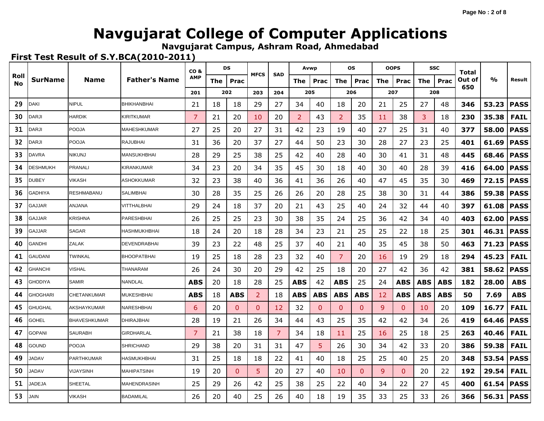**Navgujarat Campus, Ashram Road, Ahmedabad**

|            |                 |                    |                      | CO <sub>&amp;</sub> |     | DS           | <b>MFCS</b>  | <b>SAD</b> |            | Avwp         |              | <b>OS</b>    |     | <b>OOPS</b>  |            | <b>SSC</b> | Total  |               |             |
|------------|-----------------|--------------------|----------------------|---------------------|-----|--------------|--------------|------------|------------|--------------|--------------|--------------|-----|--------------|------------|------------|--------|---------------|-------------|
| Roll<br>No | <b>SurName</b>  | Name               | <b>Father's Name</b> | АМР                 | The | Prac         |              |            | The        | Prac         | The          | Prac         | The | Prac         | The        | Prac       | Out of | $\frac{0}{0}$ | Result      |
|            |                 |                    |                      | 201                 |     | 202          | 203          | 204        |            | 205          |              | 206          |     | 207          |            | 208        | 650    |               |             |
| 29         | <b>DAKI</b>     | <b>NIPUL</b>       | <b>BHIKHANBHAI</b>   | 21                  | 18  | 18           | 29           | 27         | 34         | 40           | 18           | 20           | 21  | 25           | 27         | 48         | 346    | 53.23         | <b>PASS</b> |
| 30         | DARJI           | <b>HARDIK</b>      | KIRITKUMAR           | 7                   | 21  | 20           | 10           | 20         | 2          | 43           | 2            | 35           | 11  | 38           | 3          | 18         | 230    | 35.38         | <b>FAIL</b> |
| 31         | <b>DARJI</b>    | <b>POOJA</b>       | MAHESHKUMAR          | 27                  | 25  | 20           | 27           | 31         | 42         | 23           | 19           | 40           | 27  | 25           | 31         | 40         | 377    | 58.00         | <b>PASS</b> |
| 32         | DARJI           | <b>POOJA</b>       | RAJUBHAI             | 31                  | 36  | 20           | 37           | 27         | 44         | 50           | 23           | 30           | 28  | 27           | 23         | 25         | 401    | 61.69         | <b>PASS</b> |
| 33         | <b>DAVRA</b>    | <b>NIKUNJ</b>      | MANSUKHBHAI          | 28                  | 29  | 25           | 38           | 25         | 42         | 40           | 28           | 40           | 30  | 41           | 31         | 48         | 445    | 68.46         | <b>PASS</b> |
| 34         | <b>DESHMUKH</b> | PRANALI            | KIRANKUMAR           | 34                  | 23  | 20           | 34           | 35         | 45         | 30           | 18           | 40           | 30  | 40           | 28         | 39         | 416    | 64.00         | <b>PASS</b> |
| 35         | <b>DUBEY</b>    | VIKASH             | ASHOKKUMAR           | 32                  | 23  | 38           | 40           | 36         | 41         | 36           | 26           | 40           | 47  | 45           | 35         | 30         | 469    | 72.15         | <b>PASS</b> |
| 36         | GADHIYA         | RESHMABANU         | SALIMBHAI            | 30                  | 28  | 35           | 25           | 26         | 26         | 20           | 28           | 25           | 38  | 30           | 31         | 44         | 386    | 59.38         | <b>PASS</b> |
| 37         | GAJJAR          | ANJANA             | VITTHALBHAI          | 29                  | 24  | 18           | 37           | 20         | 21         | 43           | 25           | 40           | 24  | 32           | 44         | 40         | 397    | 61.08         | <b>PASS</b> |
| 38         | GAJJAR          | <b>KRISHNA</b>     | PARESHBHAI           | 26                  | 25  | 25           | 23           | 30         | 38         | 35           | 24           | 25           | 36  | 42           | 34         | 40         | 403    | 62.00         | <b>PASS</b> |
| 39         | GAJJAR          | SAGAR              | HASHMUKHBHAI         | 18                  | 24  | 20           | 18           | 28         | 34         | 23           | 21           | 25           | 25  | 22           | 18         | 25         | 301    | 46.31         | <b>PASS</b> |
| 40         | GANDHI          | ZALAK              | DEVENDRABHAI         | 39                  | 23  | 22           | 48           | 25         | 37         | 40           | 21           | 40           | 35  | 45           | 38         | 50         | 463    | 71.23         | <b>PASS</b> |
| 41         | GAUDANI         | TWINKAL            | <b>BHOOPATBHAI</b>   | 19                  | 25  | 18           | 28           | 23         | 32         | 40           | 7            | 20           | 16  | 19           | 29         | 18         | 294    | 45.23         | <b>FAIL</b> |
| 42         | <b>GHANCHI</b>  | <b>VISHAL</b>      | THANARAM             | 26                  | 24  | 30           | 20           | 29         | 42         | 25           | 18           | 20           | 27  | 42           | 36         | 42         | 381    | 58.62         | <b>PASS</b> |
| 43         | <b>GHODIYA</b>  | <b>SAMIR</b>       | NANDLAL              | ABS                 | 20  | 18           | 28           | 25         | <b>ABS</b> | 42           | ABS          | 25           | 24  | ABS          | ABS        | ABS        | 182    | 28.00         | <b>ABS</b>  |
| 44         | <b>GHOGHARI</b> | <b>CHETANKUMAR</b> | MUKESHBHAI           | ABS                 | 18  | ABS          | 2            | 18         | <b>ABS</b> | <b>ABS</b>   | <b>ABS</b>   | <b>ABS</b>   | 12  | <b>ABS</b>   | <b>ABS</b> | <b>ABS</b> | 50     | 7.69          | <b>ABS</b>  |
| 45         | GHUGHAL         | AKSHAYKUMAR        | NARESHBHAI           | 6                   | 20  | $\mathbf{0}$ | $\mathbf{0}$ | 12         | 32         | $\mathbf{0}$ | $\mathbf{0}$ | $\mathbf{0}$ | 9   | $\Omega$     | 10         | 20         | 109    | 16.77         | <b>FAIL</b> |
| 46         | <b>GOHEL</b>    | BHAVESHKUMAR       | DHIRAJBHAI           | 28                  | 19  | 21           | 26           | 34         | 44         | 43           | 25           | 35           | 42  | 42           | 34         | 26         | 419    | 64.46         | <b>PASS</b> |
| 47         | <b>GOPANI</b>   | <b>SAURABH</b>     | GIRDHARLAL           | 7                   | 21  | 38           | 18           | 7          | 34         | 18           | 11           | 25           | 16  | 25           | 18         | 25         | 263    | 40.46         | <b>FAIL</b> |
| 48         | GOUND           | <b>POOJA</b>       | <b>SHRICHAND</b>     | 29                  | 38  | 20           | 31           | 31         | 47         | 5            | 26           | 30           | 34  | 42           | 33         | 20         | 386    | 59.38         | <b>FAIL</b> |
| 49         | <b>JADAV</b>    | <b>PARTHKUMAR</b>  | HASMUKHBHAI          | 31                  | 25  | 18           | 18           | 22         | 41         | 40           | 18           | 25           | 25  | 40           | 25         | 20         | 348    | 53.54         | <b>PASS</b> |
| 50         | <b>JADAV</b>    | <b>VIJAYSINH</b>   | <b>MAHIPATSINH</b>   | 19                  | 20  | $\mathbf{0}$ | 5            | 20         | 27         | 40           | 10           | $\mathbf{0}$ | 9   | $\mathbf{0}$ | 20         | 22         | 192    | 29.54         | <b>FAIL</b> |
| 51         | <b>IADEJA</b>   | <b>SHEETAL</b>     | MAHENDRASINH         | 25                  | 29  | 26           | 42           | 25         | 38         | 25           | 22           | 40           | 34  | 22           | 27         | 45         | 400    | 61.54         | <b>PASS</b> |
| 53         | JAIN            | <b>VIKASH</b>      | <b>BADAMILAL</b>     | 26                  | 20  | 40           | 25           | 26         | 40         | 18           | 19           | 35           | 33  | 25           | 33         | 26         | 366    | 56.31         | <b>PASS</b> |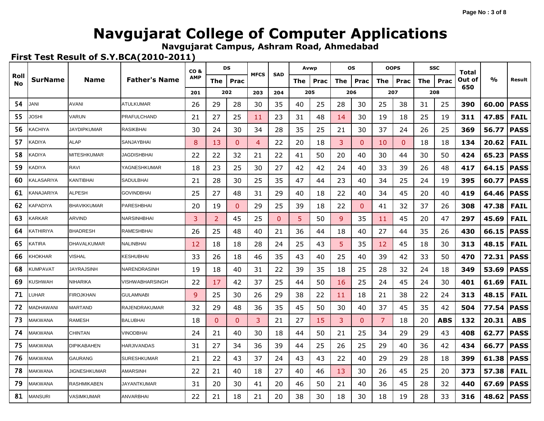**Navgujarat Campus, Ashram Road, Ahmedabad**

 $\mathbf{r}$  , and the set of the set of the set of the set of the set of the set of the set of the set of the set of the set of the set of the set of the set of the set of the set of the set of the set of the set of the set

|            |                |                    |                      | CO <sub>&amp;</sub> |              | DS           | <b>MFCS</b> | <b>SAD</b> | Avwp |      |     | <b>OS</b>    |     | <b>OOPS</b> |     | <b>SSC</b> | Total  |       |             |
|------------|----------------|--------------------|----------------------|---------------------|--------------|--------------|-------------|------------|------|------|-----|--------------|-----|-------------|-----|------------|--------|-------|-------------|
| Roll<br>No | <b>SurName</b> | Name               | <b>Father's Name</b> | <b>AMP</b>          | The          | Prac         |             |            | The  | Prac | The | Prac         | The | Prac        | The | Prac       | Out of | %     | Result      |
|            |                |                    |                      | 201                 |              | 202          | 203         | 204        | 205  |      |     | 206          |     | 207         |     | 208        | 650    |       |             |
| 54         | JANI           | <b>AVANI</b>       | <b>ATULKUMAR</b>     | 26                  | 29           | 28           | 30          | 35         | 40   | 25   | 28  | 30           | 25  | 38          | 31  | 25         | 390    | 60.00 | <b>PASS</b> |
| 55         | JOSHI          | VARUN              | <b>PRAFULCHAND</b>   | 21                  | 27           | 25           | 11          | 23         | 31   | 48   | 14  | 30           | 19  | 18          | 25  | 19         | 311    | 47.85 | <b>FAIL</b> |
| 56         | KACHIYA        | <b>JAYDIPKUMAR</b> | <b>RASIKBHAI</b>     | 30                  | 24           | 30           | 34          | 28         | 35   | 25   | 21  | 30           | 37  | 24          | 26  | 25         | 369    | 56.77 | <b>PASS</b> |
| 57         | KADIYA         | <b>ALAP</b>        | SANJAYBHAI           | 8                   | 13           | $\mathbf{0}$ | 4           | 22         | 20   | 18   | 3   | $\Omega$     | 10  | $\Omega$    | 18  | 18         | 134    | 20.62 | <b>FAIL</b> |
| 58         | KADIYA         | <b>MITESHKUMAR</b> | JAGDISHBHAI          | 22                  | 22           | 32           | 21          | 22         | 41   | 50   | 20  | 40           | 30  | 44          | 30  | 50         | 424    | 65.23 | <b>PASS</b> |
| 59         | KADIYA         | <b>RAVI</b>        | YAGNESHKUMAR         | 18                  | 23           | 25           | 30          | 27         | 42   | 42   | 24  | 40           | 33  | 39          | 26  | 48         | 417    | 64.15 | <b>PASS</b> |
| 60         | KALASARIYA     | <b>KANTIBHAI</b>   | SADULBHAI            | 21                  | 28           | 30           | 25          | 35         | 47   | 44   | 23  | 40           | 34  | 25          | 24  | 19         | 395    | 60.77 | <b>PASS</b> |
| 61         | KANAJARIYA     | <b>ALPESH</b>      | <b>GOVINDBHAI</b>    | 25                  | 27           | 48           | 31          | 29         | 40   | 18   | 22  | 40           | 34  | 45          | 20  | 40         | 419    | 64.46 | <b>PASS</b> |
| 62         | KAPADIYA       | <b>BHAVIKKUMAR</b> | PARESHBHAI           | 20                  | 19           | $\mathbf{0}$ | 29          | 25         | 39   | 18   | 22  | $\mathbf{0}$ | 41  | 32          | 37  | 26         | 308    | 47.38 | <b>FAIL</b> |
| 63         | KARKAR         | <b>ARVIND</b>      | NARSINHBHAI          | 3                   | 2            | 45           | 25          | $\Omega$   | 5    | 50   | 9   | 35           | 11  | 45          | 20  | 47         | 297    | 45.69 | <b>FAIL</b> |
| 64         | KATHIRIYA      | <b>BHADRESH</b>    | <b>RAMESHBHAI</b>    | 26                  | 25           | 48           | 40          | 21         | 36   | 44   | 18  | 40           | 27  | 44          | 35  | 26         | 430    | 66.15 | <b>PASS</b> |
| 65         | KATIRA         | <b>DHAVALKUMAR</b> | NALINBHAI            | 12                  | 18           | 18           | 28          | 24         | 25   | 43   | 5   | 35           | 12  | 45          | 18  | 30         | 313    | 48.15 | <b>FAIL</b> |
| 66         | KHOKHAR        | VISHAL             | KESHUBHAI            | 33                  | 26           | 18           | 46          | 35         | 43   | 40   | 25  | 40           | 39  | 42          | 33  | 50         | 470    | 72.31 | <b>PASS</b> |
| 68         | KUMPAVAT       | <b>JAYRAJSINH</b>  | NARENDRASINH         | 19                  | 18           | 40           | 31          | 22         | 39   | 35   | 18  | 25           | 28  | 32          | 24  | 18         | 349    | 53.69 | <b>PASS</b> |
| 69         | KUSHWAH        | <b>NIHARIKA</b>    | VISHWABHARSINGH      | 22                  | 17           | 42           | 37          | 25         | 44   | 50   | 16  | 25           | 24  | 45          | 24  | 30         | 401    | 61.69 | <b>FAIL</b> |
| 71         | LUHAR          | <b>FIROJKHAN</b>   | <b>GULAMNABI</b>     | 9                   | 25           | 30           | 26          | 29         | 38   | 22   | 11  | 18           | 21  | 38          | 22  | 24         | 313    | 48.15 | <b>FAIL</b> |
| 72         | MADHAWANI      | <b>MARTAND</b>     | RAJENDRAKUMAR        | 32                  | 29           | 48           | 36          | 35         | 45   | 50   | 30  | 40           | 37  | 45          | 35  | 42         | 504    | 77.54 | <b>PASS</b> |
| 73         | MAKWANA        | <b>RAMESH</b>      | <b>BALUBHAI</b>      | 18                  | $\mathbf{0}$ | $\mathbf{0}$ | 3           | 21         | 27   | 15   | 3   | $\Omega$     | 7   | 18          | 20  | ABS        | 132    | 20.31 | <b>ABS</b>  |
| 74         | MAKWANA        | <b>CHINTAN</b>     | VINODBHAI            | 24                  | 21           | 40           | 30          | 18         | 44   | 50   | 21  | 25           | 34  | 29          | 29  | 43         | 408    | 62.77 | <b>PASS</b> |
| 75         | MAKWANA        | <b>DIPIKABAHEN</b> | <b>HARJIVANDAS</b>   | 31                  | 27           | 34           | 36          | 39         | 44   | 25   | 26  | 25           | 29  | 40          | 36  | 42         | 434    | 66.77 | <b>PASS</b> |
| 76         | MAKWANA        | <b>GAURANG</b>     | <b>SURESHKUMAR</b>   | 21                  | 22           | 43           | 37          | 24         | 43   | 43   | 22  | 40           | 29  | 29          | 28  | 18         | 399    | 61.38 | <b>PASS</b> |
| 78         | MAKWANA        | JIGNESHKUMAR       | <b>AMARSINH</b>      | 22                  | 21           | 40           | 18          | 27         | 40   | 46   | 13  | 30           | 26  | 45          | 25  | 20         | 373    | 57.38 | <b>FAIL</b> |
| 79         | MAKWANA        | RASHMIKABEN        | JAYANTKUMAR          | 31                  | 20           | 30           | 41          | 20         | 46   | 50   | 21  | 40           | 36  | 45          | 28  | 32         | 440    | 67.69 | <b>PASS</b> |
| 81         | MANSURI        | <b>VASIMKUMAR</b>  | <b>ANVARBHAI</b>     | 22                  | 21           | 18           | 21          | 20         | 38   | 30   | 18  | 30           | 18  | 19          | 28  | 33         | 316    | 48.62 | <b>PASS</b> |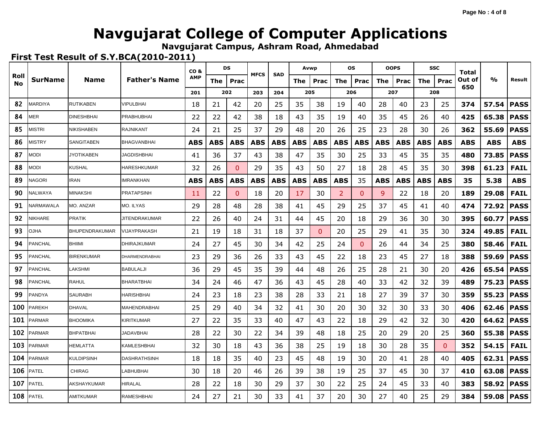**Navgujarat Campus, Ashram Road, Ahmedabad**

|            |                |                       |                       | CO <sub>&amp;</sub> |            | DS           | <b>MFCS</b> | <b>SAD</b> | Avwp       |            |     | <b>OS</b>  |            | <b>OOPS</b> |            | <b>SSC</b>   | Total      |               |             |
|------------|----------------|-----------------------|-----------------------|---------------------|------------|--------------|-------------|------------|------------|------------|-----|------------|------------|-------------|------------|--------------|------------|---------------|-------------|
| Roll<br>No | <b>SurName</b> | Name                  | <b>Father's Name</b>  | <b>AMP</b>          | The        | Prac         |             |            | The        | Prac       | The | Prac       | The        | Prac        | The        | Prac         | Out of     | $\frac{0}{0}$ | Result      |
|            |                |                       |                       | 201                 |            | 202          | 203         | 204        |            | 205        |     | 206        |            | 207         |            | 208          | 650        |               |             |
| 82         | MARDIYA        | <b>RUTIKABEN</b>      | VIPULBHAI             | 18                  | 21         | 42           | 20          | 25         | 35         | 38         | 19  | 40         | 28         | 40          | 23         | 25           | 374        | 57.54         | <b>PASS</b> |
| 84         | MER            | <b>DINESHBHAI</b>     | PRABHUBHAI            | 22                  | 22         | 42           | 38          | 18         | 43         | 35         | 19  | 40         | 35         | 45          | 26         | 40           | 425        | 65.38         | <b>PASS</b> |
| 85         | MISTRI         | <b>NIKISHABEN</b>     | <b>RAJNIKANT</b>      | 24                  | 21         | 25           | 37          | 29         | 48         | 20         | 26  | 25         | 23         | 28          | 30         | 26           | 362        | 55.69         | <b>PASS</b> |
| 86         | MISTRY         | SANGITABEN            | <b>BHAGVANBHAI</b>    | <b>ABS</b>          | <b>ABS</b> | <b>ABS</b>   | <b>ABS</b>  | <b>ABS</b> | <b>ABS</b> | <b>ABS</b> | ABS | <b>ABS</b> | <b>ABS</b> | <b>ABS</b>  | <b>ABS</b> | <b>ABS</b>   | <b>ABS</b> | <b>ABS</b>    | <b>ABS</b>  |
| 87         | modi           | JYOTIKABEN            | JAGDISHBHAI           | 41                  | 36         | 37           | 43          | 38         | 47         | 35         | 30  | 25         | 33         | 45          | 35         | 35           | 480        | 73.85         | <b>PASS</b> |
| 88         | Modi           | <b>KUSHAL</b>         | <b>HARESHKUMAR</b>    | 32                  | 26         | $\mathbf{0}$ | 29          | 35         | 43         | 50         | 27  | 18         | 28         | 45          | 35         | 30           | 398        | 61.23         | <b>FAIL</b> |
| 89         | NAGORI         | <b>IRAN</b>           | <b>IMRANKHAN</b>      | <b>ABS</b>          | <b>ABS</b> | <b>ABS</b>   | <b>ABS</b>  | <b>ABS</b> | <b>ABS</b> | <b>ABS</b> | ABS | 35         | <b>ABS</b> | <b>ABS</b>  | <b>ABS</b> | <b>ABS</b>   | 35         | 5.38          | <b>ABS</b>  |
| 90         | NALWAYA        | <b>MINAKSHI</b>       | <b>PRATAPSINH</b>     | 11                  | 22         | $\mathbf{0}$ | 18          | 20         | 17         | 30         | 2   | $\Omega$   | 9          | 22          | 18         | 20           | 189        | 29.08         | <b>FAIL</b> |
| 91         | NARMAWALA      | <b>MO. ANZAR</b>      | <b>MO. ILYAS</b>      | 29                  | 28         | 48           | 28          | 38         | 41         | 45         | 29  | 25         | 37         | 45          | 41         | 40           | 474        | 72.92         | <b>PASS</b> |
| 92         | NIKHARE        | <b>PRATIK</b>         | JITENDRAKUMAR         | 22                  | 26         | 40           | 24          | 31         | 44         | 45         | 20  | 18         | 29         | 36          | 30         | 30           | 395        | 60.77         | <b>PASS</b> |
| 93         | <b>OJHA</b>    | <b>BHUPENDRAKUMAR</b> | VIJAYPRAKASH          | 21                  | 19         | 18           | 31          | 18         | 37         | $\Omega$   | 20  | 25         | 29         | 41          | 35         | 30           | 324        | 49.85         | <b>FAIL</b> |
| 94         | <b>PANCHAL</b> | <b>BHIIMI</b>         | <b>DHIRAJKUMAR</b>    | 24                  | 27         | 45           | 30          | 34         | 42         | 25         | 24  | $\Omega$   | 26         | 44          | 34         | 25           | 380        | 58.46         | <b>FAIL</b> |
| 95         | <b>PANCHAL</b> | <b>BIRENKUMAR</b>     | <b>DHARMENDRABHAI</b> | 23                  | 29         | 36           | 26          | 33         | 43         | 45         | 22  | 18         | 23         | 45          | 27         | 18           | 388        | 59.69         | <b>PASS</b> |
| 97         | <b>PANCHAL</b> | LAKSHMI               | <b>BABULALJI</b>      | 36                  | 29         | 45           | 35          | 39         | 44         | 48         | 26  | 25         | 28         | 21          | 30         | 20           | 426        | 65.54         | <b>PASS</b> |
| 98         | PANCHAL        | <b>RAHUL</b>          | <b>BHARATBHAI</b>     | 34                  | 24         | 46           | 47          | 36         | 43         | 45         | 28  | 40         | 33         | 42          | 32         | 39           | 489        | 75.23         | <b>PASS</b> |
| 99         | PANDYA         | <b>SAURABH</b>        | <b>HARISHBHAI</b>     | 24                  | 23         | 18           | 23          | 38         | 28         | 33         | 21  | 18         | 27         | 39          | 37         | 30           | 359        | 55.23         | <b>PASS</b> |
| 100        | PAREKH         | <b>DHAVAL</b>         | MAHENDRABHAI          | 25                  | 29         | 40           | 34          | 32         | 41         | 30         | 20  | 30         | 32         | 30          | 33         | 30           | 406        | 62.46         | <b>PASS</b> |
| 101        | PARMAR         | <b>BHOOMIKA</b>       | <b>KIRITKUMAR</b>     | 27                  | 22         | 35           | 33          | 40         | 47         | 43         | 22  | 18         | 29         | 42          | 32         | 30           | 420        | 64.62         | <b>PASS</b> |
| 102        | PARMAR         | <b>BHPATBHAI</b>      | <b>JADAVBHAI</b>      | 28                  | 22         | 30           | 22          | 34         | 39         | 48         | 18  | 25         | 20         | 29          | 20         | 25           | 360        | 55.38         | <b>PASS</b> |
| 103        | PARMAR         | <b>HEMLATTA</b>       | <b>KAMLESHBHAI</b>    | 32                  | 30         | 18           | 43          | 36         | 38         | 25         | 19  | 18         | 30         | 28          | 35         | $\mathbf{0}$ | 352        | 54.15         | <b>FAIL</b> |
| 104        | <b>PARMAR</b>  | <b>KULDIPSINH</b>     | <b>DASHRATHSINH</b>   | 18                  | 18         | 35           | 40          | 23         | 45         | 48         | 19  | 30         | 20         | 41          | 28         | 40           | 405        | 62.31         | <b>PASS</b> |
| 106        | PATEL          | <b>CHIRAG</b>         | LABHUBHAI             | 30                  | 18         | 20           | 46          | 26         | 39         | 38         | 19  | 25         | 37         | 45          | 30         | 37           | 410        | 63.08         | <b>PASS</b> |
| 107        | PATEL          | AKSHAYKUMAR           | <b>HIRALAL</b>        | 28                  | 22         | 18           | 30          | 29         | 37         | 30         | 22  | 25         | 24         | 45          | 33         | 40           | 383        | 58.92         | <b>PASS</b> |
| 108        | PATEL          | <b>AMITKUMAR</b>      | RAMESHBHAI            | 24                  | 27         | 21           | 30          | 33         | 41         | 37         | 20  | 30         | 27         | 40          | 25         | 29           | 384        | 59.08         | <b>PASS</b> |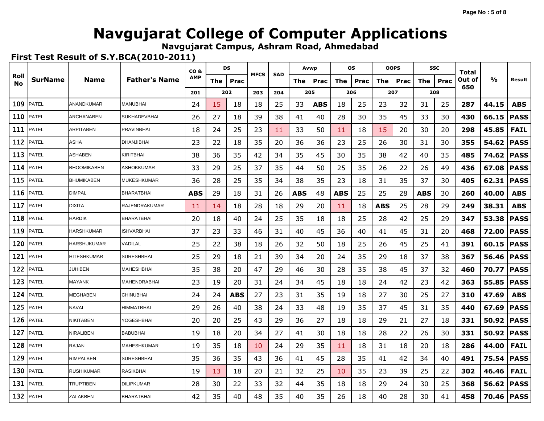**Navgujarat Campus, Ashram Road, Ahmedabad**

|            |                |                    |                      | CO <sub>&amp;</sub> |     | DS         | <b>MFCS</b> | <b>SAD</b> | Avwp |            | <b>OS</b> |      |     | <b>OOPS</b> |            | <b>SSC</b> | Total  |       |             |
|------------|----------------|--------------------|----------------------|---------------------|-----|------------|-------------|------------|------|------------|-----------|------|-----|-------------|------------|------------|--------|-------|-------------|
| Roll<br>No | <b>SurName</b> | <b>Name</b>        | <b>Father's Name</b> | <b>AMP</b>          | The | Prac       |             |            | The  | Prac       | The       | Prac | The | Prac        | The        | Prac       | Out of | %     | Result      |
|            |                |                    |                      | 201                 |     | 202        | 203         | 204        | 205  |            |           | 206  |     | 207         |            | 208        | 650    |       |             |
| 109        | <b>PATEL</b>   | ANANDKUMAR         | <b>MANUBHAI</b>      | 24                  | 15  | 18         | 18          | 25         | 33   | <b>ABS</b> | 18        | 25   | 23  | 32          | 31         | 25         | 287    | 44.15 | <b>ABS</b>  |
| 110        | PATEL          | <b>ARCHANABEN</b>  | SUKHADEVBHAI         | 26                  | 27  | 18         | 39          | 38         | 41   | 40         | 28        | 30   | 35  | 45          | 33         | 30         | 430    | 66.15 | <b>PASS</b> |
| 111        | PATEL          | <b>ARPITABEN</b>   | <b>PRAVINBHAI</b>    | 18                  | 24  | 25         | 23          | 11         | 33   | 50         | 11        | 18   | 15  | 20          | 30         | 20         | 298    | 45.85 | <b>FAIL</b> |
| 112        | PATEL          | ASHA               | DHANJIBHAI           | 23                  | 22  | 18         | 35          | 20         | 36   | 36         | 23        | 25   | 26  | 30          | 31         | 30         | 355    | 54.62 | <b>PASS</b> |
| 113        | PATEL          | <b>ASHABEN</b>     | KIRITBHAI            | 38                  | 36  | 35         | 42          | 34         | 35   | 45         | 30        | 35   | 38  | 42          | 40         | 35         | 485    | 74.62 | <b>PASS</b> |
| 114        | PATEL          | <b>BHOOMIKABEN</b> | <b>ASHOKKUMAR</b>    | 33                  | 29  | 25         | 37          | 35         | 44   | 50         | 25        | 35   | 26  | 22          | 26         | 49         | 436    | 67.08 | <b>PASS</b> |
| 115        | PATEL          | <b>BHUMIKABEN</b>  | <b>MUKESHKUMAR</b>   | 36                  | 28  | 25         | 35          | 34         | 38   | 35         | 23        | 18   | 31  | 35          | 37         | 30         | 405    | 62.31 | <b>PASS</b> |
| 116        | <b>PATEL</b>   | <b>DIMPAL</b>      | <b>BHARATBHAI</b>    | <b>ABS</b>          | 29  | 18         | 31          | 26         | ABS  | 48         | ABS       | 25   | 25  | 28          | <b>ABS</b> | 30         | 260    | 40.00 | <b>ABS</b>  |
| 117        | PATEL          | <b>DIXITA</b>      | RAJENDRAKUMAR        | 11                  | 14  | 18         | 28          | 18         | 29   | 20         | 11        | 18   | ABS | 25          | 28         | 29         | 249    | 38.31 | <b>ABS</b>  |
| 118        | PATEL          | <b>HARDIK</b>      | <b>BHARATBHAI</b>    | 20                  | 18  | 40         | 24          | 25         | 35   | 18         | 18        | 25   | 28  | 42          | 25         | 29         | 347    | 53.38 | <b>PASS</b> |
| 119        | PATEL          | <b>HARSHKUMAR</b>  | <b>ISHVARBHAI</b>    | 37                  | 23  | 33         | 46          | 31         | 40   | 45         | 36        | 40   | 41  | 45          | 31         | 20         | 468    | 72.00 | <b>PASS</b> |
| 120        | PATEL          | <b>HARSHUKUMAR</b> | VADILAL              | 25                  | 22  | 38         | 18          | 26         | 32   | 50         | 18        | 25   | 26  | 45          | 25         | 41         | 391    | 60.15 | <b>PASS</b> |
| 121        | PATEL          | <b>HITESHKUMAR</b> | <b>SURESHBHAI</b>    | 25                  | 29  | 18         | 21          | 39         | 34   | 20         | 24        | 35   | 29  | 18          | 37         | 38         | 367    | 56.46 | <b>PASS</b> |
| 122        | PATEL          | <b>JUHIBEN</b>     | MAHESHBHAI           | 35                  | 38  | 20         | 47          | 29         | 46   | 30         | 28        | 35   | 38  | 45          | 37         | 32         | 460    | 70.77 | <b>PASS</b> |
| 123        | PATEL          | <b>MAYANK</b>      | MAHENDRABHAI         | 23                  | 19  | 20         | 31          | 24         | 34   | 45         | 18        | 18   | 24  | 42          | 23         | 42         | 363    | 55.85 | <b>PASS</b> |
| 124        | PATEL          | <b>MEGHABEN</b>    | <b>CHINUBHAI</b>     | 24                  | 24  | <b>ABS</b> | 27          | 23         | 31   | 35         | 19        | 18   | 27  | 30          | 25         | 27         | 310    | 47.69 | <b>ABS</b>  |
| 125        | PATEL          | <b>NAVAL</b>       | <b>HIMMATBHAI</b>    | 29                  | 26  | 40         | 38          | 24         | 33   | 48         | 19        | 35   | 37  | 45          | 31         | 35         | 440    | 67.69 | <b>PASS</b> |
| 126        | PATEL          | <b>NIKITABEN</b>   | YOGESHBHAI           | 20                  | 20  | 25         | 43          | 29         | 36   | 27         | 18        | 18   | 29  | 21          | 27         | 18         | 331    | 50.92 | <b>PASS</b> |
| 127        | PATEL          | NIRALIBEN          | BABUBHAI             | 19                  | 18  | 20         | 34          | 27         | 41   | 30         | 18        | 18   | 28  | 22          | 26         | 30         | 331    | 50.92 | <b>PASS</b> |
| 128        | PATEL          | RAJAN              | <b>MAHESHKUMAR</b>   | 19                  | 35  | 18         | 10          | 24         | 29   | 35         | 11        | 18   | 31  | 18          | 20         | 18         | 286    | 44.00 | <b>FAIL</b> |
| 129        | PATEL          | <b>RIMPALBEN</b>   | <b>SURESHBHAI</b>    | 35                  | 36  | 35         | 43          | 36         | 41   | 45         | 28        | 35   | 41  | 42          | 34         | 40         | 491    | 75.54 | <b>PASS</b> |
| 130        | PATEL          | <b>RUSHIKUMAR</b>  | RASIKBHAI            | 19                  | 13  | 18         | 20          | 21         | 32   | 25         | 10        | 35   | 23  | 39          | 25         | 22         | 302    | 46.46 | <b>FAIL</b> |
| 131        | <b>PATEL</b>   | <b>TRUPTIBEN</b>   | <b>DILIPKUMAR</b>    | 28                  | 30  | 22         | 33          | 32         | 44   | 35         | 18        | 18   | 29  | 24          | 30         | 25         | 368    | 56.62 | <b>PASS</b> |
| 132        | <b>PATEL</b>   | ZALAKBEN           | <b>BHARATBHAI</b>    | 42                  | 35  | 40         | 48          | 35         | 40   | 35         | 26        | 18   | 40  | 28          | 30         | 41         | 458    | 70.46 | <b>PASS</b> |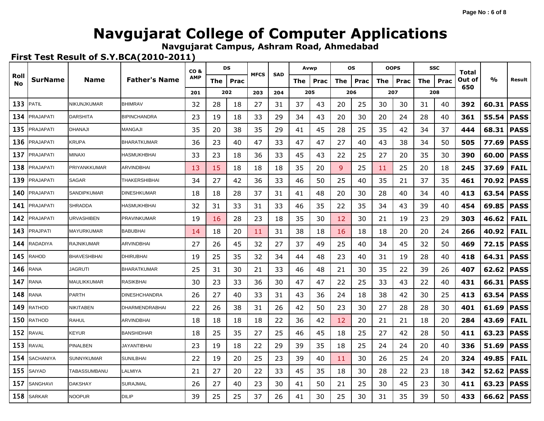**Navgujarat Campus, Ashram Road, Ahmedabad**

|            |                  |                    |                       | CO <sub>&amp;</sub> |     | DS   | <b>MFCS</b> | <b>SAD</b> | Avwp |      |     | <b>OS</b> |     | <b>OOPS</b> |     | <b>SSC</b> | Total  |       |             |
|------------|------------------|--------------------|-----------------------|---------------------|-----|------|-------------|------------|------|------|-----|-----------|-----|-------------|-----|------------|--------|-------|-------------|
| Roll<br>No | <b>SurName</b>   | <b>Name</b>        | <b>Father's Name</b>  | <b>AMP</b>          | The | Prac |             |            | The  | Prac | The | Prac      | The | Prac        | The | Prac       | Out of | %     | Result      |
|            |                  |                    |                       | 201                 |     | 202  | 203         | 204        | 205  |      |     | 206       |     | 207         |     | 208        | 650    |       |             |
| 133        | <b>PATIL</b>     | NIKUNJKUMAR        | <b>BHIMRAV</b>        | 32                  | 28  | 18   | 27          | 31         | 37   | 43   | 20  | 25        | 30  | 30          | 31  | 40         | 392    | 60.31 | <b>PASS</b> |
| 134        | PRAJAPATI        | <b>DARSHITA</b>    | <b>BIPINCHANDRA</b>   | 23                  | 19  | 18   | 33          | 29         | 34   | 43   | 20  | 30        | 20  | 24          | 28  | 40         | 361    | 55.54 | <b>PASS</b> |
| 135        | PRAJAPATI        | <b>DHANAJI</b>     | <b>MANGAJI</b>        | 35                  | 20  | 38   | 35          | 29         | 41   | 45   | 28  | 25        | 35  | 42          | 34  | 37         | 444    | 68.31 | <b>PASS</b> |
| 136        | PRAJAPATI        | <b>KRUPA</b>       | BHARATKUMAR           | 36                  | 23  | 40   | 47          | 33         | 47   | 47   | 27  | 40        | 43  | 38          | 34  | 50         | 505    | 77.69 | <b>PASS</b> |
| 137        | PRAJAPATI        | <b>MINAXI</b>      | HASMUKHBHAI           | 33                  | 23  | 18   | 36          | 33         | 45   | 43   | 22  | 25        | 27  | 20          | 35  | 30         | 390    | 60.00 | <b>PASS</b> |
| 138        | PRAJAPATI        | PRIYANKKUMAR       | ARVINDBHAI            | 13                  | 15  | 18   | 18          | 18         | 35   | 20   | 9   | 25        | 11  | 25          | 20  | 18         | 245    | 37.69 | <b>FAIL</b> |
| 139        | <b>PRAJAPATI</b> | <b>SAGAR</b>       | <b>THAKERSHIBHAI</b>  | 34                  | 27  | 42   | 36          | 33         | 46   | 50   | 25  | 40        | 35  | 21          | 37  | 35         | 461    | 70.92 | <b>PASS</b> |
| 140        | PRAJAPATI        | SANDIPKUMAR        | <b>DINESHKUMAR</b>    | 18                  | 18  | 28   | 37          | 31         | 41   | 48   | 20  | 30        | 28  | 40          | 34  | 40         | 413    | 63.54 | <b>PASS</b> |
| 141        | PRAJAPATI        | <b>SHRADDA</b>     | <b>HASMUKHBHAI</b>    | 32                  | 31  | 33   | 31          | 33         | 46   | 35   | 22  | 35        | 34  | 43          | 39  | 40         | 454    | 69.85 | <b>PASS</b> |
| 142        | PRAJAPATI        | URVASHIBEN         | <b>PRAVINKUMAR</b>    | 19                  | 16  | 28   | 23          | 18         | 35   | 30   | 12  | 30        | 21  | 19          | 23  | 29         | 303    | 46.62 | <b>FAIL</b> |
| 143        | PRAJPATI         | <b>MAYURKUMAR</b>  | <b>BABUBHAI</b>       | 14                  | 18  | 20   | 11          | 31         | 38   | 18   | 16  | 18        | 18  | 20          | 20  | 24         | 266    | 40.92 | <b>FAIL</b> |
| 144        | RADADIYA         | <b>RAJNIKUMAR</b>  | ARVINDBHAI            | 27                  | 26  | 45   | 32          | 27         | 37   | 49   | 25  | 40        | 34  | 45          | 32  | 50         | 469    | 72.15 | <b>PASS</b> |
| 145        | RAHOD            | <b>BHAVESHBHAI</b> | <b>DHIRUBHAI</b>      | 19                  | 25  | 35   | 32          | 34         | 44   | 48   | 23  | 40        | 31  | 19          | 28  | 40         | 418    | 64.31 | <b>PASS</b> |
| 146        | RANA             | JAGRUTI            | <b>BHARATKUMAR</b>    | 25                  | 31  | 30   | 21          | 33         | 46   | 48   | 21  | 30        | 35  | 22          | 39  | 26         | 407    | 62.62 | <b>PASS</b> |
| 147        | RANA             | <b>MAULIKKUMAR</b> | <b>RASIKBHAI</b>      | 30                  | 23  | 33   | 36          | 30         | 47   | 47   | 22  | 25        | 33  | 43          | 22  | 40         | 431    | 66.31 | <b>PASS</b> |
| 148        | RANA             | <b>PARTH</b>       | <b>DINESHCHANDRA</b>  | 26                  | 27  | 40   | 33          | 31         | 43   | 36   | 24  | 18        | 38  | 42          | 30  | 25         | 413    | 63.54 | <b>PASS</b> |
| 149        | RATHOD           | <b>NIKITABEN</b>   | <b>DHARMENDRABHAI</b> | 22                  | 26  | 38   | 31          | 26         | 42   | 50   | 23  | 30        | 27  | 28          | 28  | 30         | 401    | 61.69 | <b>PASS</b> |
| 150        | <b>RATHOD</b>    | <b>RAHUL</b>       | ARVINDBHAI            | 18                  | 18  | 18   | 18          | 22         | 36   | 42   | 12  | 20        | 21  | 21          | 18  | 20         | 284    | 43.69 | <b>FAIL</b> |
| 152        | <b>RAVAL</b>     | <b>KEYUR</b>       | <b>BANSHIDHAR</b>     | 18                  | 25  | 35   | 27          | 25         | 46   | 45   | 18  | 25        | 27  | 42          | 28  | 50         | 411    | 63.23 | <b>PASS</b> |
| 153        | <b>RAVAL</b>     | <b>PINALBEN</b>    | <b>JAYANTIBHAI</b>    | 23                  | 19  | 18   | 22          | 29         | 39   | 35   | 18  | 25        | 24  | 24          | 20  | 40         | 336    | 51.69 | <b>PASS</b> |
| 154        | SACHANIYA        | <b>SUNNYKUMAR</b>  | <b>SUNILBHAI</b>      | 22                  | 19  | 20   | 25          | 23         | 39   | 40   | 11  | 30        | 26  | 25          | 24  | 20         | 324    | 49.85 | <b>FAIL</b> |
| 155        | SAIYAD           | TABASSUMBANU       | LALMIYA               | 21                  | 27  | 20   | 22          | 33         | 45   | 35   | 18  | 30        | 28  | 22          | 23  | 18         | 342    | 52.62 | <b>PASS</b> |
| 157        | SANGHAVI         | <b>DAKSHAY</b>     | SURAJMAL              | 26                  | 27  | 40   | 23          | 30         | 41   | 50   | 21  | 25        | 30  | 45          | 23  | 30         | 411    | 63.23 | <b>PASS</b> |
| 158        | <b>SARKAR</b>    | <b>NOOPUR</b>      | <b>DILIP</b>          | 39                  | 25  | 25   | 37          | 26         | 41   | 30   | 25  | 30        | 31  | 35          | 39  | 50         | 433    | 66.62 | <b>PASS</b> |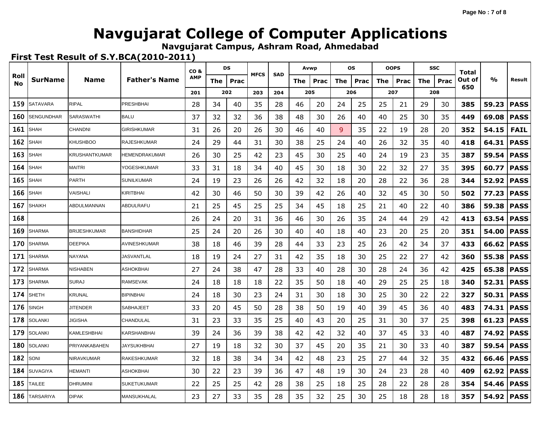**Navgujarat Campus, Ashram Road, Ahmedabad**

|            |                   |                      |                      | CO <sub>&amp;</sub> |     | DS   | <b>MFCS</b> | <b>SAD</b> | Avwp |      |     | os   |     | <b>OOPS</b> |            | <b>SSC</b> | Total  |               |             |
|------------|-------------------|----------------------|----------------------|---------------------|-----|------|-------------|------------|------|------|-----|------|-----|-------------|------------|------------|--------|---------------|-------------|
| Roll<br>No | <b>SurName</b>    | Name                 | <b>Father's Name</b> | <b>AMP</b>          | The | Prac |             |            | The  | Prac | The | Prac | The | Prac        | <b>The</b> | Prac       | Out of | $\frac{0}{0}$ | Result      |
|            |                   |                      |                      | 201                 |     | 202  | 203         | 204        | 205  |      |     | 206  |     | 207         |            | 208        | 650    |               |             |
| 159        | <b>SATAVARA</b>   | <b>RIPAL</b>         | <b>PRESHBHAI</b>     | 28                  | 34  | 40   | 35          | 28         | 46   | 20   | 24  | 25   | 25  | 21          | 29         | 30         | 385    | 59.23         | <b>PASS</b> |
| 160        | <b>SENGUNDHAR</b> | <b>SARASWATHI</b>    | <b>BALU</b>          | 37                  | 32  | 32   | 36          | 38         | 48   | 30   | 26  | 40   | 40  | 25          | 30         | 35         | 449    | 69.08         | <b>PASS</b> |
| 161        | <b>SHAH</b>       | <b>CHANDNI</b>       | <b>GIRISHKUMAR</b>   | 31                  | 26  | 20   | 26          | 30         | 46   | 40   | 9   | 35   | 22  | 19          | 28         | 20         | 352    | 54.15         | <b>FAIL</b> |
| 162        | <b>SHAH</b>       | <b>KHUSHBOO</b>      | <b>RAJESHKUMAR</b>   | 24                  | 29  | 44   | 31          | 30         | 38   | 25   | 24  | 40   | 26  | 32          | 35         | 40         | 418    | 64.31         | <b>PASS</b> |
| 163        | SHAH              | <b>KRUSHANTKUMAR</b> | <b>HEMENDRAKUMAR</b> | 26                  | 30  | 25   | 42          | 23         | 45   | 30   | 25  | 40   | 24  | 19          | 23         | 35         | 387    | 59.54         | <b>PASS</b> |
| 164        | SHAH              | <b>MAITRI</b>        | YOGESHKUMAR          | 33                  | 31  | 18   | 34          | 40         | 45   | 30   | 18  | 30   | 22  | 32          | 27         | 35         | 395    | 60.77         | <b>PASS</b> |
| 165        | SHAH              | <b>PARTH</b>         | <b>SUNILKUMAR</b>    | 24                  | 19  | 23   | 26          | 26         | 42   | 32   | 18  | 20   | 28  | 22          | 36         | 28         | 344    | 52.92         | <b>PASS</b> |
| 166        | SHAH              | VAISHALI             | KIRITBHAI            | 42                  | 30  | 46   | 50          | 30         | 39   | 42   | 26  | 40   | 32  | 45          | 30         | 50         | 502    | 77.23         | <b>PASS</b> |
| 167        | <b>SHAIKH</b>     | ABDULMANNAN          | ABDULRAFU            | 21                  | 25  | 45   | 25          | 25         | 34   | 45   | 18  | 25   | 21  | 40          | 22         | 40         | 386    | 59.38         | <b>PASS</b> |
| 168        |                   |                      |                      | 26                  | 24  | 20   | 31          | 36         | 46   | 30   | 26  | 35   | 24  | 44          | 29         | 42         | 413    | 63.54         | <b>PASS</b> |
| 169        | <b>SHARMA</b>     | <b>BRIJESHKUMAR</b>  | <b>BANSHIDHAR</b>    | 25                  | 24  | 20   | 26          | 30         | 40   | 40   | 18  | 40   | 23  | 20          | 25         | 20         | 351    | 54.00         | <b>PASS</b> |
| 170        | SHARMA            | <b>DEEPIKA</b>       | AVINESHKUMAR         | 38                  | 18  | 46   | 39          | 28         | 44   | 33   | 23  | 25   | 26  | 42          | 34         | 37         | 433    | 66.62         | <b>PASS</b> |
| 171        | <b>SHARMA</b>     | NAYANA               | <b>JASVANTLAL</b>    | 18                  | 19  | 24   | 27          | 31         | 42   | 35   | 18  | 30   | 25  | 22          | 27         | 42         | 360    | 55.38         | <b>PASS</b> |
| 172        | <b>SHARMA</b>     | <b>NISHABEN</b>      | ASHOKBHAI            | 27                  | 24  | 38   | 47          | 28         | 33   | 40   | 28  | 30   | 28  | 24          | 36         | 42         | 425    | 65.38         | <b>PASS</b> |
| 173        | <b>SHARMA</b>     | <b>SURAJ</b>         | <b>RAMSEVAK</b>      | 24                  | 18  | 18   | 18          | 22         | 35   | 50   | 18  | 40   | 29  | 25          | 25         | 18         | 340    | 52.31         | <b>PASS</b> |
| 174        | <b>SHETH</b>      | <b>KRUNAL</b>        | <b>BIPINBHAI</b>     | 24                  | 18  | 30   | 23          | 24         | 31   | 30   | 18  | 30   | 25  | 30          | 22         | 22         | 327    | 50.31         | <b>PASS</b> |
| 176        | <b>SINGH</b>      | <b>JITENDER</b>      | SABHAJEET            | 33                  | 20  | 45   | 50          | 28         | 38   | 50   | 19  | 40   | 39  | 45          | 36         | 40         | 483    | 74.31         | <b>PASS</b> |
| 178        | <b>SOLANKI</b>    | JIGISHA              | CHANDULAL            | 31                  | 23  | 33   | 35          | 25         | 40   | 43   | 20  | 25   | 31  | 30          | 37         | 25         | 398    | 61.23         | <b>PASS</b> |
| 179        | <b>SOLANKI</b>    | <b>KAMLESHBHAI</b>   | KARSHANBHAI          | 39                  | 24  | 36   | 39          | 38         | 42   | 42   | 32  | 40   | 37  | 45          | 33         | 40         | 487    | 74.92         | <b>PASS</b> |
| 180        | <b>SOLANKI</b>    | PRIYANKABAHEN        | JAYSUKHBHAI          | 27                  | 19  | 18   | 32          | 30         | 37   | 45   | 20  | 35   | 21  | 30          | 33         | 40         | 387    | 59.54         | <b>PASS</b> |
| 182        | SONI              | NIRAVKUMAR           | RAKESHKUMAR          | 32                  | 18  | 38   | 34          | 34         | 42   | 48   | 23  | 25   | 27  | 44          | 32         | 35         | 432    | 66.46         | <b>PASS</b> |
| 184        | <b>SUVAGIYA</b>   | <b>HEMANTI</b>       | <b>ASHOKBHAI</b>     | 30                  | 22  | 23   | 39          | 36         | 47   | 48   | 19  | 30   | 24  | 23          | 28         | 40         | 409    | 62.92         | <b>PASS</b> |
| 185        | TAILEE            | <b>DHRUMINI</b>      | <b>SUKETUKUMAR</b>   | 22                  | 25  | 25   | 42          | 28         | 38   | 25   | 18  | 25   | 28  | 22          | 28         | 28         | 354    | 54.46         | <b>PASS</b> |
| 186        | <b>TARSARIYA</b>  | <b>DIPAK</b>         | MANSUKHALAL          | 23                  | 27  | 33   | 35          | 28         | 35   | 32   | 25  | 30   | 25  | 18          | 28         | 18         | 357    | 54.92         | <b>PASS</b> |